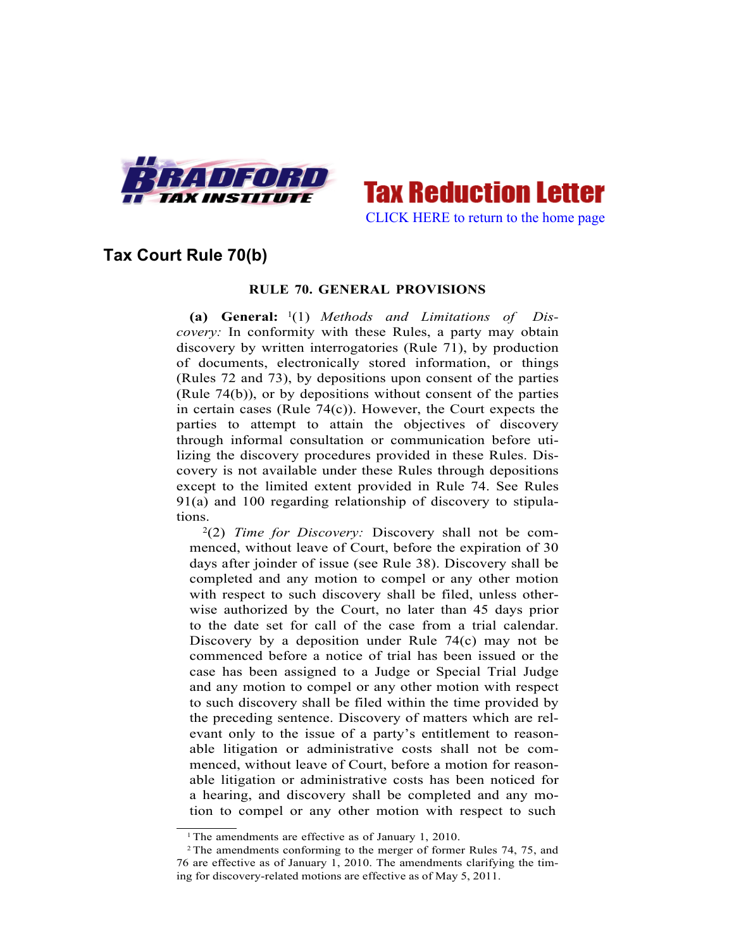



## **Tax Court Rule 70(b)**

## **RULE 70. GENERAL PROVISIONS**

**(a) General:** 1(1) *Methods and Limitations of Discovery:* In conformity with these Rules, a party may obtain discovery by written interrogatories (Rule 71), by production of documents, electronically stored information, or things (Rules 72 and 73), by depositions upon consent of the parties (Rule 74(b)), or by depositions without consent of the parties in certain cases (Rule 74(c)). However, the Court expects the parties to attempt to attain the objectives of discovery through informal consultation or communication before utilizing the discovery procedures provided in these Rules. Discovery is not available under these Rules through depositions except to the limited extent provided in Rule 74. See Rules 91(a) and 100 regarding relationship of discovery to stipulations.

2(2) *Time for Discovery:* Discovery shall not be commenced, without leave of Court, before the expiration of 30 days after joinder of issue (see Rule 38). Discovery shall be completed and any motion to compel or any other motion with respect to such discovery shall be filed, unless otherwise authorized by the Court, no later than 45 days prior to the date set for call of the case from a trial calendar. Discovery by a deposition under Rule 74(c) may not be commenced before a notice of trial has been issued or the case has been assigned to a Judge or Special Trial Judge and any motion to compel or any other motion with respect to such discovery shall be filed within the time provided by the preceding sentence. Discovery of matters which are relevant only to the issue of a party's entitlement to reasonable litigation or administrative costs shall not be commenced, without leave of Court, before a motion for reasonable litigation or administrative costs has been noticed for a hearing, and discovery shall be completed and any motion to compel or any other motion with respect to such

<sup>&</sup>lt;sup>1</sup> The amendments are effective as of January 1, 2010.

<sup>&</sup>lt;sup>2</sup> The amendments conforming to the merger of former Rules 74, 75, and 76 are effective as of January 1, 2010. The amendments clarifying the timing for discovery-related motions are effective as of May 5, 2011.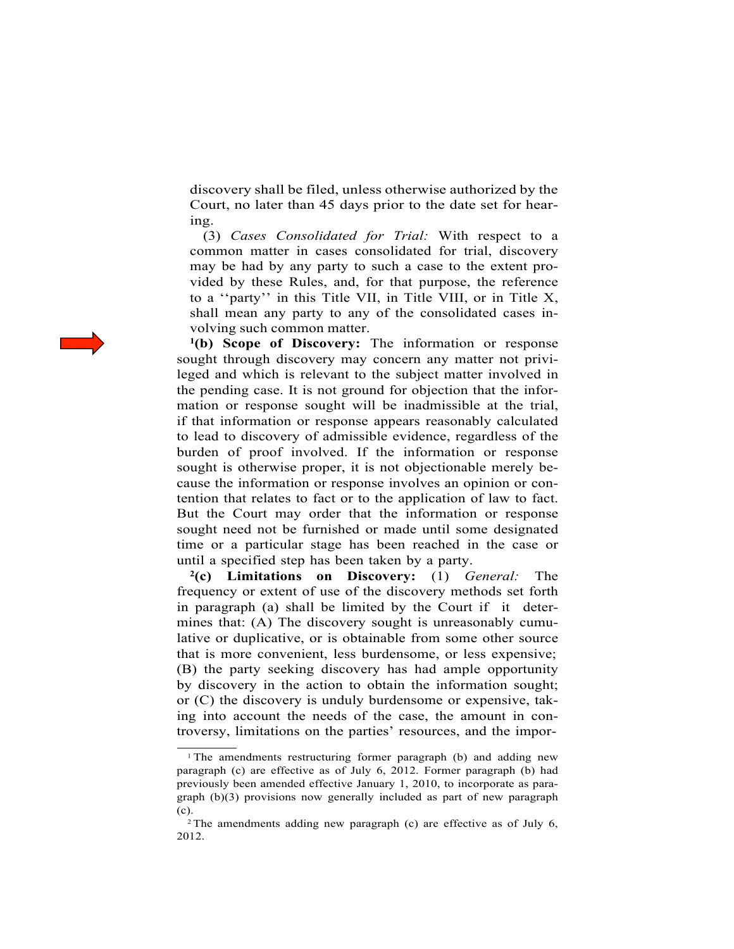discovery shall be filed, unless otherwise authorized by the Court, no later than 45 days prior to the date set for hearing.

(3) *Cases Consolidated for Trial:* With respect to a common matter in cases consolidated for trial, discovery may be had by any party to such a case to the extent provided by these Rules, and, for that purpose, the reference to a ''party'' in this Title VII, in Title VIII, or in Title X, shall mean any party to any of the consolidated cases involving such common matter.

**1(b) Scope of Discovery:** The information or response sought through discovery may concern any matter not privileged and which is relevant to the subject matter involved in the pending case. It is not ground for objection that the information or response sought will be inadmissible at the trial, if that information or response appears reasonably calculated to lead to discovery of admissible evidence, regardless of the burden of proof involved. If the information or response sought is otherwise proper, it is not objectionable merely because the information or response involves an opinion or contention that relates to fact or to the application of law to fact. But the Court may order that the information or response sought need not be furnished or made until some designated time or a particular stage has been reached in the case or until a specified step has been taken by a party.

**2(c) Limitations on Discovery:** (1) *General:* The frequency or extent of use of the discovery methods set forth in paragraph (a) shall be limited by the Court if it determines that: (A) The discovery sought is unreasonably cumulative or duplicative, or is obtainable from some other source that is more convenient, less burdensome, or less expensive; (B) the party seeking discovery has had ample opportunity by discovery in the action to obtain the information sought; or (C) the discovery is unduly burdensome or expensive, taking into account the needs of the case, the amount in controversy, limitations on the parties' resources, and the impor-

<sup>&</sup>lt;sup>1</sup> The amendments restructuring former paragraph (b) and adding new paragraph (c) are effective as of July 6, 2012. Former paragraph (b) had previously been amended effective January 1, 2010, to incorporate as paragraph (b)(3) provisions now generally included as part of new paragraph (c).

<sup>&</sup>lt;sup>2</sup>The amendments adding new paragraph (c) are effective as of July 6, 2012.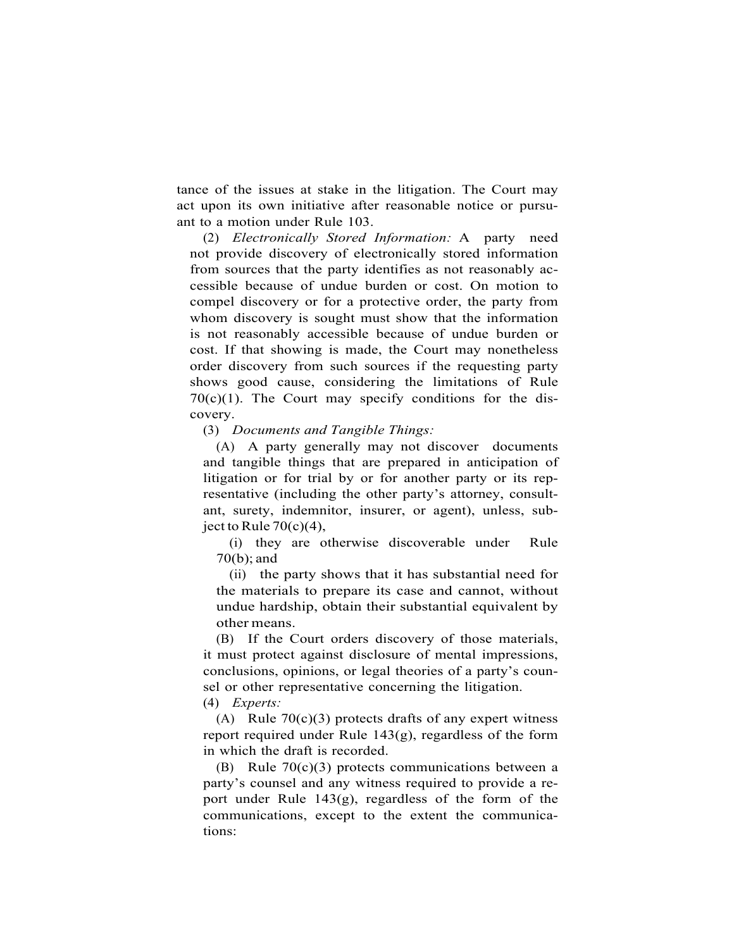tance of the issues at stake in the litigation. The Court may act upon its own initiative after reasonable notice or pursuant to a motion under Rule 103.

(2) *Electronically Stored Information:* A party need not provide discovery of electronically stored information from sources that the party identifies as not reasonably accessible because of undue burden or cost. On motion to compel discovery or for a protective order, the party from whom discovery is sought must show that the information is not reasonably accessible because of undue burden or cost. If that showing is made, the Court may nonetheless order discovery from such sources if the requesting party shows good cause, considering the limitations of Rule  $70(c)(1)$ . The Court may specify conditions for the discovery.

(3) *Documents and Tangible Things:*

(A) A party generally may not discover documents and tangible things that are prepared in anticipation of litigation or for trial by or for another party or its representative (including the other party's attorney, consultant, surety, indemnitor, insurer, or agent), unless, subject to Rule  $70(c)(4)$ ,

(i) they are otherwise discoverable under Rule 70(b); and

(ii) the party shows that it has substantial need for the materials to prepare its case and cannot, without undue hardship, obtain their substantial equivalent by other means.

(B) If the Court orders discovery of those materials, it must protect against disclosure of mental impressions, conclusions, opinions, or legal theories of a party's counsel or other representative concerning the litigation.

(4) *Experts:*

(A) Rule  $70(c)(3)$  protects drafts of any expert witness report required under Rule 143(g), regardless of the form in which the draft is recorded.

(B) Rule 70(c)(3) protects communications between a party's counsel and any witness required to provide a report under Rule 143(g), regardless of the form of the communications, except to the extent the communications: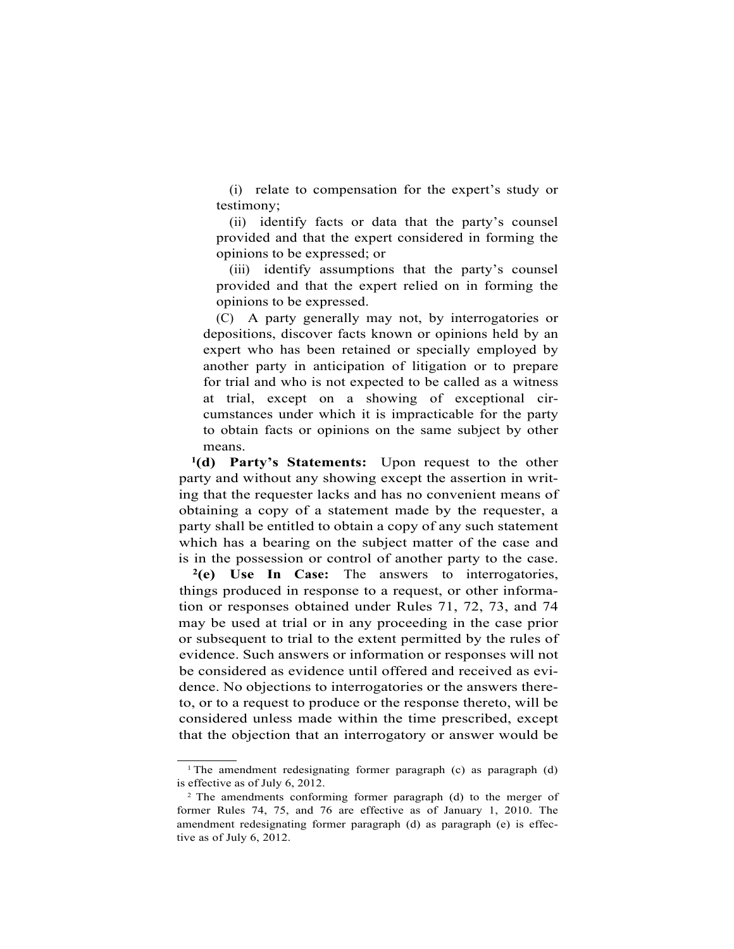(i) relate to compensation for the expert's study or testimony;

(ii) identify facts or data that the party's counsel provided and that the expert considered in forming the opinions to be expressed; or

(iii) identify assumptions that the party's counsel provided and that the expert relied on in forming the opinions to be expressed.

(C) A party generally may not, by interrogatories or depositions, discover facts known or opinions held by an expert who has been retained or specially employed by another party in anticipation of litigation or to prepare for trial and who is not expected to be called as a witness at trial, except on a showing of exceptional circumstances under which it is impracticable for the party to obtain facts or opinions on the same subject by other means.

**1(d) Party's Statements:** Upon request to the other party and without any showing except the assertion in writing that the requester lacks and has no convenient means of obtaining a copy of a statement made by the requester, a party shall be entitled to obtain a copy of any such statement which has a bearing on the subject matter of the case and is in the possession or control of another party to the case.

**2(e) Use In Case:** The answers to interrogatories, things produced in response to a request, or other information or responses obtained under Rules 71, 72, 73, and 74 may be used at trial or in any proceeding in the case prior or subsequent to trial to the extent permitted by the rules of evidence. Such answers or information or responses will not be considered as evidence until offered and received as evidence. No objections to interrogatories or the answers thereto, or to a request to produce or the response thereto, will be considered unless made within the time prescribed, except that the objection that an interrogatory or answer would be

<sup>&</sup>lt;sup>1</sup> The amendment redesignating former paragraph (c) as paragraph (d) is effective as of July 6, 2012.

<sup>2</sup> The amendments conforming former paragraph (d) to the merger of former Rules 74, 75, and 76 are effective as of January 1, 2010. The amendment redesignating former paragraph (d) as paragraph (e) is effective as of July 6, 2012.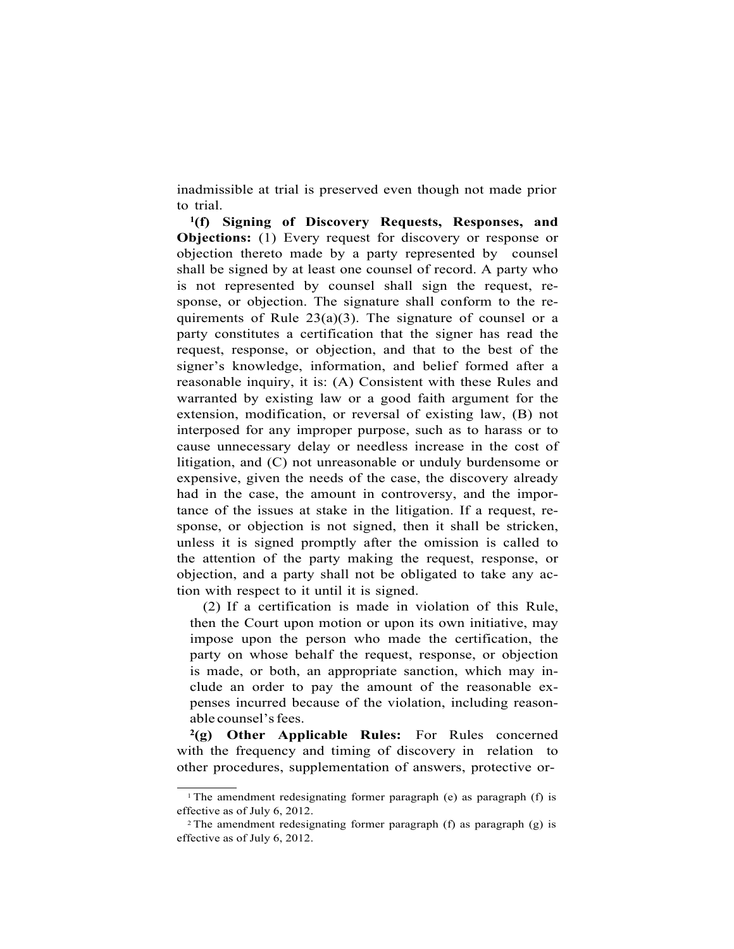inadmissible at trial is preserved even though not made prior to trial.

**1(f) Signing of Discovery Requests, Responses, and Objections:** (1) Every request for discovery or response or objection thereto made by a party represented by counsel shall be signed by at least one counsel of record. A party who is not represented by counsel shall sign the request, response, or objection. The signature shall conform to the requirements of Rule  $23(a)(3)$ . The signature of counsel or a party constitutes a certification that the signer has read the request, response, or objection, and that to the best of the signer's knowledge, information, and belief formed after a reasonable inquiry, it is: (A) Consistent with these Rules and warranted by existing law or a good faith argument for the extension, modification, or reversal of existing law, (B) not interposed for any improper purpose, such as to harass or to cause unnecessary delay or needless increase in the cost of litigation, and (C) not unreasonable or unduly burdensome or expensive, given the needs of the case, the discovery already had in the case, the amount in controversy, and the importance of the issues at stake in the litigation. If a request, response, or objection is not signed, then it shall be stricken, unless it is signed promptly after the omission is called to the attention of the party making the request, response, or objection, and a party shall not be obligated to take any action with respect to it until it is signed.

(2) If a certification is made in violation of this Rule, then the Court upon motion or upon its own initiative, may impose upon the person who made the certification, the party on whose behalf the request, response, or objection is made, or both, an appropriate sanction, which may include an order to pay the amount of the reasonable expenses incurred because of the violation, including reasonable counsel's fees.

**2(g) Other Applicable Rules:** For Rules concerned with the frequency and timing of discovery in relation to other procedures, supplementation of answers, protective or-

<sup>&</sup>lt;sup>1</sup> The amendment redesignating former paragraph (e) as paragraph (f) is effective as of July 6, 2012.

<sup>&</sup>lt;sup>2</sup> The amendment redesignating former paragraph (f) as paragraph (g) is effective as of July 6, 2012.